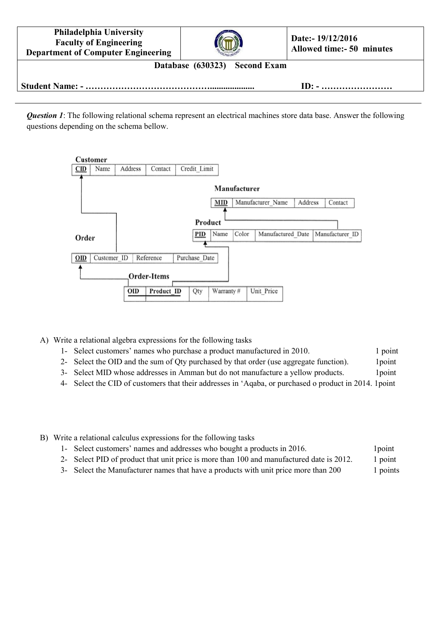| <b>Philadelphia University</b><br><b>Faculty of Engineering</b><br><b>Department of Computer Engineering</b> |  | Date:-19/12/2016<br><b>Allowed time:- 50 minutes</b> |  |  |
|--------------------------------------------------------------------------------------------------------------|--|------------------------------------------------------|--|--|
| Database (630323) Second Exam                                                                                |  |                                                      |  |  |
|                                                                                                              |  | $ID: - \dots \dots \dots \dots \dots \dots \dots$    |  |  |

*Question 1*: The following relational schema represent an electrical machines store data base. Answer the following questions depending on the schema bellow.



- A) Write a relational algebra expressions for the following tasks
	- 1- Select customers' names who purchase a product manufactured in 2010. 1 point
	- 2- Select the OID and the sum of Qty purchased by that order (use aggregate function). 1 point
	- 3- Select MID whose addresses in Amman but do not manufacture a yellow products. 1point
	- 4- Select the CID of customers that their addresses in 'Aqaba, or purchased o product in 2014. 1point

B) Write a relational calculus expressions for the following tasks

- 1- Select customers' names and addresses who bought a products in 2016. 1point
- 2- Select PID of product that unit price is more than 100 and manufactured date is 2012. 1 point
- 3- Select the Manufacturer names that have a products with unit price more than 200 1 points